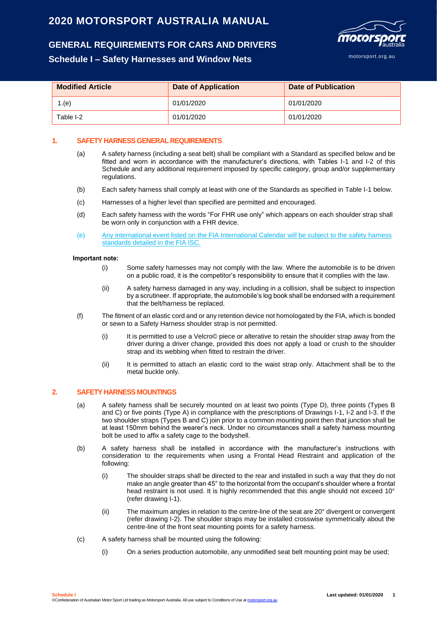# **2020 MOTORSPORT AUSTRALIA MANUAL**

# **GENERAL REQUIREMENTS FOR CARS AND DRIVERS**

# **Schedule I – Safety Harnesses and Window Nets**



| <b>Modified Article</b> | <b>Date of Application</b> | Date of Publication |  |  |
|-------------------------|----------------------------|---------------------|--|--|
| 1.(e)                   | 01/01/2020                 | 01/01/2020          |  |  |
| Table I-2               | 01/01/2020                 | 01/01/2020          |  |  |

## **1. SAFETY HARNESS GENERAL REQUIREMENTS**

- (a) A safety harness (including a seat belt) shall be compliant with a Standard as specified below and be fitted and worn in accordance with the manufacturer's directions, with Tables I-1 and I-2 of this Schedule and any additional requirement imposed by specific category, group and/or supplementary regulations.
- (b) Each safety harness shall comply at least with one of the Standards as specified in Table I-1 below.
- (c) Harnesses of a higher level than specified are permitted and encouraged.
- (d) Each safety harness with the words "For FHR use only" which appears on each shoulder strap shall be worn only in conjunction with a FHR device.
- (e) Any international event listed on the FIA International Calendar will be subject to the safety harness standards detailed in the FIA ISC.

#### **Important note:**

- (i) Some safety harnesses may not comply with the law. Where the automobile is to be driven on a public road, it is the competitor's responsibility to ensure that it complies with the law.
- (ii) A safety harness damaged in any way, including in a collision, shall be subject to inspection by a scrutineer. If appropriate, the automobile's log book shall be endorsed with a requirement that the belt/harness be replaced.
- (f) The fitment of an elastic cord and or any retention device not homologated by the FIA, which is bonded or sewn to a Safety Harness shoulder strap is not permitted.
	- (i) It is permitted to use a Velcro© piece or alterative to retain the shoulder strap away from the driver during a driver change, provided this does not apply a load or crush to the shoulder strap and its webbing when fitted to restrain the driver.
	- (ii) It is permitted to attach an elastic cord to the waist strap only. Attachment shall be to the metal buckle only.

### **2. SAFETY HARNESS MOUNTINGS**

- (a) A safety harness shall be securely mounted on at least two points (Type D), three points (Types B and C) or five points (Type A) in compliance with the prescriptions of Drawings I-1, I-2 and I-3. If the two shoulder straps (Types B and C) join prior to a common mounting point then that junction shall be at least 150mm behind the wearer's neck. Under no circumstances shall a safety harness mounting bolt be used to affix a safety cage to the bodyshell.
- (b) A safety harness shall be installed in accordance with the manufacturer's instructions with consideration to the requirements when using a Frontal Head Restraint and application of the following:
	- (i) The shoulder straps shall be directed to the rear and installed in such a way that they do not make an angle greater than 45° to the horizontal from the occupant's shoulder where a frontal head restraint is not used. It is highly recommended that this angle should not exceed 10° (refer drawing I-1).
	- (ii) The maximum angles in relation to the centre-line of the seat are 20° divergent or convergent (refer drawing I-2). The shoulder straps may be installed crosswise symmetrically about the centre-line of the front seat mounting points for a safety harness.
- (c) A safety harness shall be mounted using the following:
	- (i) On a series production automobile, any unmodified seat belt mounting point may be used;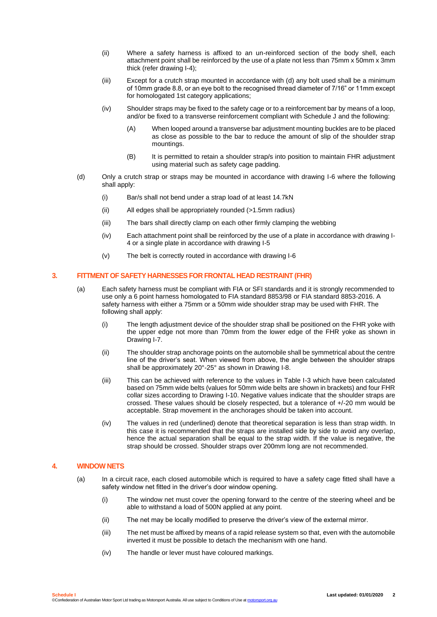- (ii) Where a safety harness is affixed to an un-reinforced section of the body shell, each attachment point shall be reinforced by the use of a plate not less than 75mm x 50mm x 3mm thick (refer drawing I-4);
- (iii) Except for a crutch strap mounted in accordance with (d) any bolt used shall be a minimum of 10mm grade 8.8, or an eye bolt to the recognised thread diameter of 7/16" or 11mm except for homologated 1st category applications;
- (iv) Shoulder straps may be fixed to the safety cage or to a reinforcement bar by means of a loop, and/or be fixed to a transverse reinforcement compliant with Schedule J and the following:
	- (A) When looped around a transverse bar adjustment mounting buckles are to be placed as close as possible to the bar to reduce the amount of slip of the shoulder strap mountings.
	- (B) It is permitted to retain a shoulder strap/s into position to maintain FHR adjustment using material such as safety cage padding.
- (d) Only a crutch strap or straps may be mounted in accordance with drawing I-6 where the following shall apply:
	- (i) Bar/s shall not bend under a strap load of at least 14.7kN
	- (ii) All edges shall be appropriately rounded (>1.5mm radius)
	- (iii) The bars shall directly clamp on each other firmly clamping the webbing
	- (iv) Each attachment point shall be reinforced by the use of a plate in accordance with drawing I-4 or a single plate in accordance with drawing I-5
	- (v) The belt is correctly routed in accordance with drawing I-6

### **3. FITTMENT OF SAFETY HARNESSES FOR FRONTAL HEAD RESTRAINT (FHR)**

- (a) Each safety harness must be compliant with FIA or SFI standards and it is strongly recommended to use only a 6 point harness homologated to FIA standard 8853/98 or FIA standard 8853-2016. A safety harness with either a 75mm or a 50mm wide shoulder strap may be used with FHR. The following shall apply:
	- (i) The length adjustment device of the shoulder strap shall be positioned on the FHR yoke with the upper edge not more than 70mm from the lower edge of the FHR yoke as shown in Drawing I-7.
	- (ii) The shoulder strap anchorage points on the automobile shall be symmetrical about the centre line of the driver's seat. When viewed from above, the angle between the shoulder straps shall be approximately 20°-25° as shown in Drawing I-8.
	- (iii) This can be achieved with reference to the values in Table I-3 which have been calculated based on 75mm wide belts (values for 50mm wide belts are shown in brackets) and four FHR collar sizes according to Drawing I-10. Negative values indicate that the shoulder straps are crossed. These values should be closely respected, but a tolerance of +/-20 mm would be acceptable. Strap movement in the anchorages should be taken into account.
	- (iv) The values in red (underlined) denote that theoretical separation is less than strap width. In this case it is recommended that the straps are installed side by side to avoid any overlap, hence the actual separation shall be equal to the strap width. If the value is negative, the strap should be crossed. Shoulder straps over 200mm long are not recommended.

### **4. WINDOW NETS**

- (a) In a circuit race, each closed automobile which is required to have a safety cage fitted shall have a safety window net fitted in the driver's door window opening.
	- (i) The window net must cover the opening forward to the centre of the steering wheel and be able to withstand a load of 500N applied at any point.
	- (ii) The net may be locally modified to preserve the driver's view of the external mirror.
	- (iii) The net must be affixed by means of a rapid release system so that, even with the automobile inverted it must be possible to detach the mechanism with one hand.
	- (iv) The handle or lever must have coloured markings.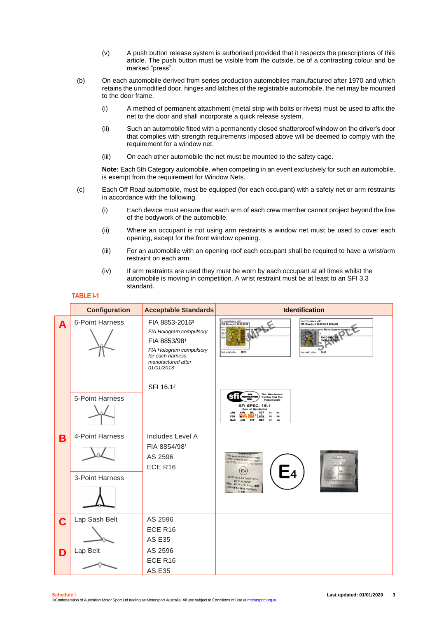- (v) A push button release system is authorised provided that it respects the prescriptions of this article. The push button must be visible from the outside, be of a contrasting colour and be marked "press".
- (b) On each automobile derived from series production automobiles manufactured after 1970 and which retains the unmodified door, hinges and latches of the registrable automobile, the net may be mounted to the door frame.
	- (i) A method of permanent attachment (metal strip with bolts or rivets) must be used to affix the net to the door and shall incorporate a quick release system.
	- (ii) Such an automobile fitted with a permanently closed shatterproof window on the driver's door that complies with strength requirements imposed above will be deemed to comply with the requirement for a window net.
	- (iii) On each other automobile the net must be mounted to the safety cage.

**Note:** Each 5th Category automobile, when competing in an event exclusively for such an automobile, is exempt from the requirement for Window Nets.

- (c) Each Off Road automobile, must be equipped (for each occupant) with a safety net or arm restraints in accordance with the following.
	- (i) Each device must ensure that each arm of each crew member cannot project beyond the line of the bodywork of the automobile.
	- (ii) Where an occupant is not using arm restraints a window net must be used to cover each opening, except for the front window opening.
	- (iii) For an automobile with an opening roof each occupant shall be required to have a wrist/arm restraint on each arm.
	- (iv) If arm restraints are used they must be worn by each occupant at all times whilst the automobile is moving in competition. A wrist restraint must be at least to an SFI 3.3 standard.

|   | <b>Configuration</b>               | <b>Acceptable Standards</b>                                                                                                                              | <b>Identification</b>                                                                                                                                                                                                                                        |
|---|------------------------------------|----------------------------------------------------------------------------------------------------------------------------------------------------------|--------------------------------------------------------------------------------------------------------------------------------------------------------------------------------------------------------------------------------------------------------------|
| A | 6-Point Harness                    | FIA 8853-2016 <sup>3</sup><br>FIA Hologram compulsory<br>FIA 8853/981<br>FIA Hologram compulsory<br>for each harness<br>manufactured after<br>01/01/2013 | In compliance with:<br>In compliance with:<br><b>FIA Standard 8853-2016</b><br>FIA Standard 8853/98 & 8854/98<br>ne: Manufacturer hamess<br><b>FIA D-99</b><br>Not valid after<br>: 2021<br>201<br><b>Vot valid after</b>                                    |
|   | 5-Point Harness                    | SFI 16.12                                                                                                                                                | This Manufacturer<br><b>SFI</b><br>FOUNDATION<br><b>Certifies That This</b><br>INC.<br><b>Product Meets</b><br>SFI SPEC. 16.1<br>Date of Manufacture<br>OCT<br><b>FEB</b><br>Ni rv<br>06<br><b>SEP</b><br><b>MAR</b><br><b>JUN</b><br><b>DEC</b><br>07<br>08 |
| B | 4-Point Harness<br>3-Point Harness | Includes Level A<br>FIA 8854/981<br>AS 2596<br>ECE R16                                                                                                   | This seatbolt extensioner meets<br>safety standards and regulations<br>AS / 2596, ISO 8683 J386 FMVSS<br>E <sub>4</sub><br>MEETS INT'L E4 D4604 ELR-V<br><b>MADE IN JAPAN</b><br>【重要】当エクステンダーは、国際<br>E4安全基準に適合しております。<br>日本射                                 |
| C | Lap Sash Belt                      | AS 2596<br>ECE R16<br><b>AS E35</b>                                                                                                                      |                                                                                                                                                                                                                                                              |
| D | Lap Belt                           | AS 2596<br>ECE R16<br><b>AS E35</b>                                                                                                                      |                                                                                                                                                                                                                                                              |

#### **TABLE I-1**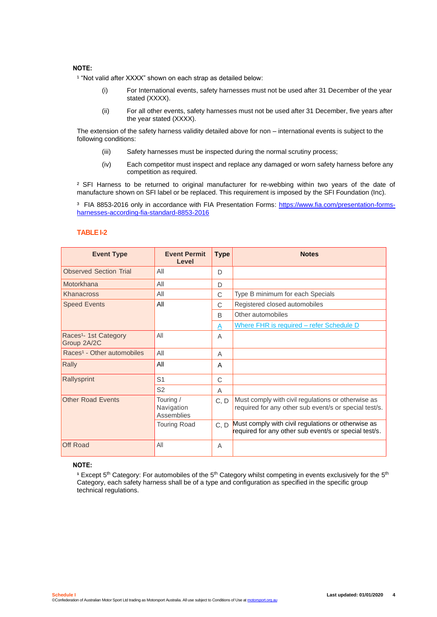### **NOTE:**

<sup>1</sup> "Not valid after XXXX" shown on each strap as detailed below:

- (i) For International events, safety harnesses must not be used after 31 December of the year stated (XXXX).
- (ii) For all other events, safety harnesses must not be used after 31 December, five years after the year stated (XXXX).

The extension of the safety harness validity detailed above for non – international events is subject to the following conditions:

- (iii) Safety harnesses must be inspected during the normal scrutiny process;
- (iv) Each competitor must inspect and replace any damaged or worn safety harness before any competition as required.

<sup>2</sup> SFI Harness to be returned to original manufacturer for re-webbing within two years of the date of manufacture shown on SFI label or be replaced. This requirement is imposed by the SFI Foundation (Inc).

<sup>3</sup> FIA 8853-2016 only in accordance with FIA Presentation Forms: [https://www.fia.com/presentation-forms](https://www.fia.com/presentation-forms-harnesses-according-fia-standard-8853-2016)[harnesses-according-fia-standard-8853-2016](https://www.fia.com/presentation-forms-harnesses-according-fia-standard-8853-2016)

#### **TABLE I-2**

| <b>Event Type</b>                                | <b>Event Permit</b><br>Level          | <b>Type</b> | <b>Notes</b>                                                                                                |  |  |
|--------------------------------------------------|---------------------------------------|-------------|-------------------------------------------------------------------------------------------------------------|--|--|
| <b>Observed Section Trial</b>                    | All                                   | D           |                                                                                                             |  |  |
| Motorkhana                                       | All                                   | D           |                                                                                                             |  |  |
| Khanacross                                       | All                                   | C           | Type B minimum for each Specials                                                                            |  |  |
| <b>Speed Events</b>                              | All                                   | C           | Registered closed automobiles                                                                               |  |  |
|                                                  |                                       | B           | Other automobiles                                                                                           |  |  |
|                                                  |                                       | A           | Where FHR is required - refer Schedule D                                                                    |  |  |
| Races <sup>1</sup> - 1st Category<br>Group 2A/2C | All                                   | Α           |                                                                                                             |  |  |
| Races <sup>1</sup> - Other automobiles           | All                                   | Α           |                                                                                                             |  |  |
| Rally                                            | All                                   | A           |                                                                                                             |  |  |
| Rallysprint                                      | S <sub>1</sub>                        | C           |                                                                                                             |  |  |
|                                                  | S <sub>2</sub>                        | A           |                                                                                                             |  |  |
| <b>Other Road Events</b>                         | Touring /<br>Navigation<br>Assemblies | C. D        | Must comply with civil regulations or otherwise as<br>required for any other sub event/s or special test/s. |  |  |
|                                                  | <b>Touring Road</b>                   | C, D        | Must comply with civil regulations or otherwise as<br>required for any other sub event/s or special test/s. |  |  |
| Off Road                                         | All                                   | Α           |                                                                                                             |  |  |

#### **NOTE:**

 $^{\rm 1}$  Except 5<sup>th</sup> Category: For automobiles of the 5<sup>th</sup> Category whilst competing in events exclusively for the 5<sup>th</sup> Category, each safety harness shall be of a type and configuration as specified in the specific group technical regulations.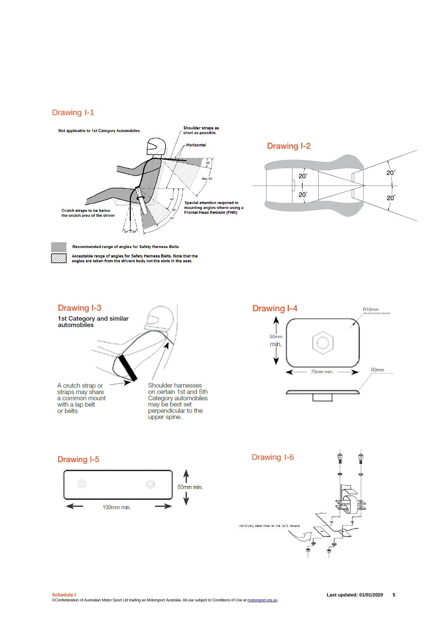## Drawing I-1



**Drawing I-2** 



Acceptable range of angles for Safety Harness Belts. Note that the<br>angles are taken from the drivers body not the slots in the seat.